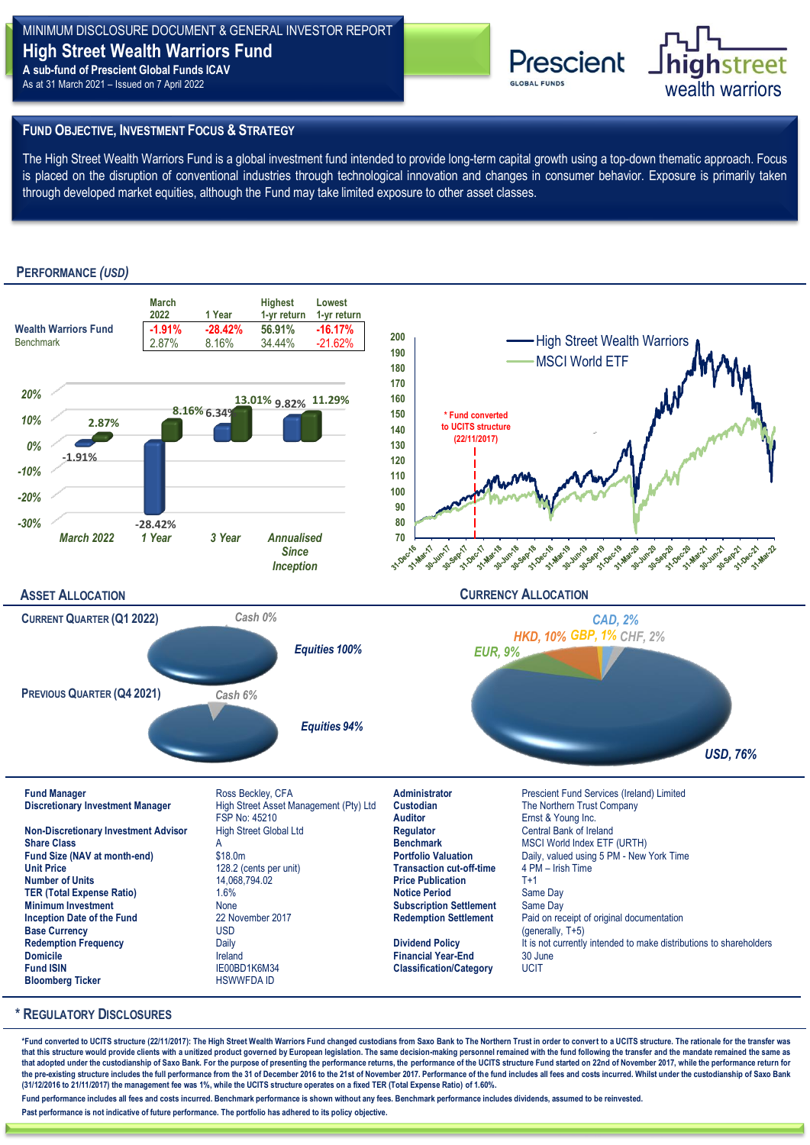# MINIMUM DISCLOSURE DOCUMENT & GENERAL INVESTOR REPORT **High Street Wealth Warriors Fund A sub-fund of Prescient Global Funds ICAV**

As at 31 March 2021 – Issued on 7 April 2022



# **FUND OBJECTIVE, INVESTMENT FOCUS & STRATEGY**

The High Street Wealth Warriors Fund is a global investment fund intended to provide long-term capital growth using a top-down thematic approach. Focus is placed on the disruption of conventional industries through technological innovation and changes in consumer behavior. Exposure is primarily taken through developed market equities, although the Fund may take limited exposure to other asset classes.

# **PERFORMANCE** *(USD)*



### **\* REGULATORY DISCLOSURES**

\*Fund converted to UCITS structure (22/11/2017): The High Street Wealth Warriors Fund changed custodians from Saxo Bank to The Northern Trust in order to convert to a UCITS structure. The rationale for the transfer was that this structure would provide clients with a unitized product governed by European legislation. The same decision-making personnel remained with the fund following the transfer and the mandate remained the same as **that adopted under the custodianship of Saxo Bank. For the purpose of presenting the performance returns, the performance of the UCITS structure Fund started on 22nd of November 2017, while the performance return for**  the pre-existing structure includes the full performance from the 31 of December 2016 to the 21st of November 2017. Performance of the fund includes all fees and costs incurred. Whilst under the custodianship of Saxo Bank **(31/12/2016 to 21/11/2017) the management fee was 1%, while the UCITS structure operates on a fixed TER (Total Expense Ratio) of 1.60%.** 

**Fund performance includes all fees and costs incurred. Benchmark performance is shown without any fees. Benchmark performance includes dividends, assumed to be reinvested.**

**Past performance is not indicative of future performance. The portfolio has adhered to its policy objective.**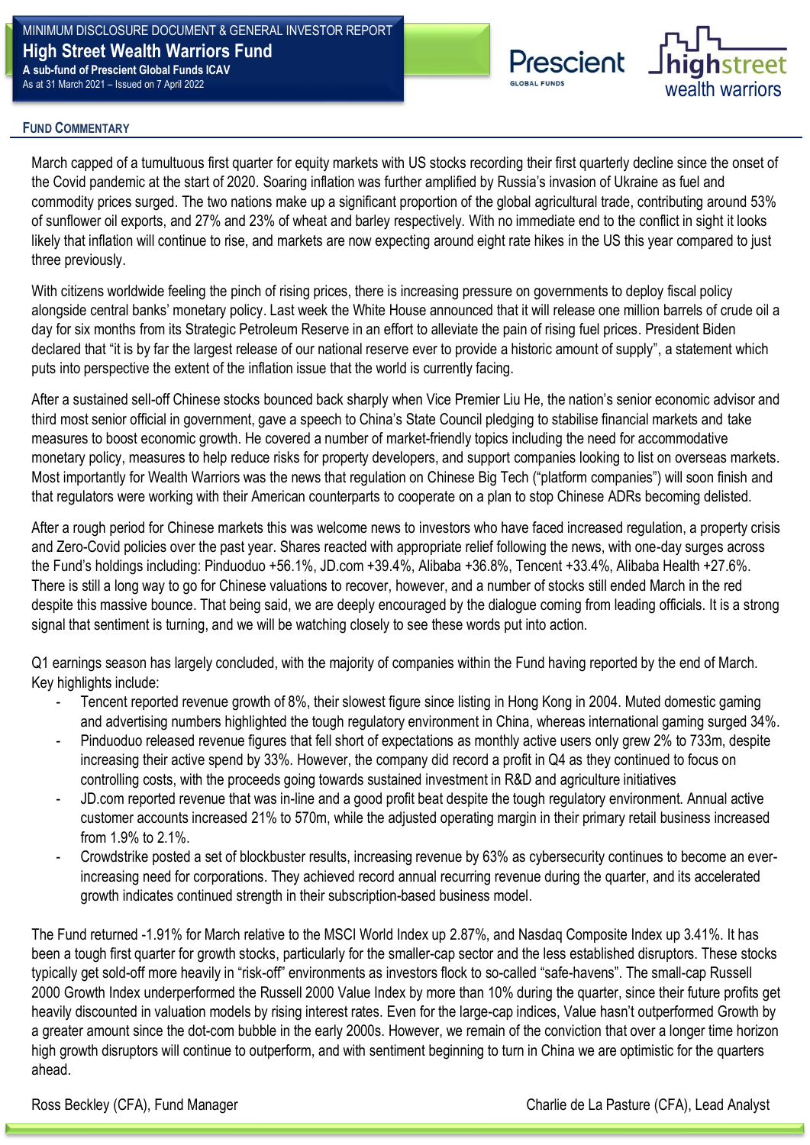MINIMUM DISCLOSURE DOCUMENT & GENERAL INVESTOR REPORT **High Street Wealth Warriors Fund A sub-fund of Prescient Global Funds ICAV** As at 31 March 2021 – Issued on 7 April 2022



## **RISK & REWARD PROFILE FUND COMMENTARY**

**P**<br>**PORTFOLIO BUILDED IN THE CONTENTING CONTENT** March capped of a tumultuous first quarter for equity markets with US stocks recording their first quarterly decline since the onset of the Covid pandemic at the start of 2020. Soaring inflation was further amplified by Russia's invasion of Ukraine as fuel and commodity prices surged. The two nations make up a significant proportion of the global agricultural trade, contributing around 53% of sunflower oil exports, and 27% and 23% of wheat and barley respectively. With no immediate end to the conflict in sight it looks likely that inflation will continue to rise, and markets are now expecting around eight rate hikes in the US this year compared to just three previously. **P P** OCTOBER **P** OCTOBER **1999** 

With citizens worldwide feeling the pinch of rising prices, there is increasing pressure on governments to deploy fiscal policy alongside central banks' monetary policy. Last week the White House announced that it will release one million barrels of crude oil a day for six months from its Strategic Petroleum Reserve in an effort to alleviate the pain of rising fuel prices. President Biden declared that "it is by far the largest release of our national reserve ever to provide a historic amount of supply", a statement which puts into perspective the extent of the inflation issue that the world is currently facing.

After a sustained sell-off Chinese stocks bounced back sharply when Vice Premier Liu He, the nation's senior economic advisor and third most senior official in government, gave a speech to China's State Council pledging to stabilise financial markets and take measures to boost economic growth. He covered a number of market-friendly topics including the need for accommodative monetary policy, measures to help reduce risks for property developers, and support companies looking to list on overseas markets. Most importantly for Wealth Warriors was the news that regulation on Chinese Big Tech ("platform companies") will soon finish and that regulators were working with their American counterparts to cooperate on a plan to stop Chinese ADRs becoming delisted.

After a rough period for Chinese markets this was welcome news to investors who have faced increased regulation, a property crisis and Zero-Covid policies over the past year. Shares reacted with appropriate relief following the news, with one-day surges across the Fund's holdings including: Pinduoduo +56.1%, JD.com +39.4%, Alibaba +36.8%, Tencent +33.4%, Alibaba Health +27.6%. There is still a long way to go for Chinese valuations to recover, however, and a number of stocks still ended March in the red despite this massive bounce. That being said, we are deeply encouraged by the dialogue coming from leading officials. It is a strong signal that sentiment is turning, and we will be watching closely to see these words put into action.

Q1 earnings season has largely concluded, with the majority of companies within the Fund having reported by the end of March. Key highlights include:

- Tencent reported revenue growth of 8%, their slowest figure since listing in Hong Kong in 2004. Muted domestic gaming and advertising numbers highlighted the tough regulatory environment in China, whereas international gaming surged 34%.
- Pinduoduo released revenue figures that fell short of expectations as monthly active users only grew 2% to 733m, despite increasing their active spend by 33%. However, the company did record a profit in Q4 as they continued to focus on controlling costs, with the proceeds going towards sustained investment in R&D and agriculture initiatives
- JD.com reported revenue that was in-line and a good profit beat despite the tough regulatory environment. Annual active customer accounts increased 21% to 570m, while the adjusted operating margin in their primary retail business increased from 1.9% to 2.1%.
- Crowdstrike posted a set of blockbuster results, increasing revenue by 63% as cybersecurity continues to become an everincreasing need for corporations. They achieved record annual recurring revenue during the quarter, and its accelerated growth indicates continued strength in their subscription-based business model.

The Fund returned -1.91% for March relative to the MSCI World Index up 2.87%, and Nasdaq Composite Index up 3.41%. It has been a tough first quarter for growth stocks, particularly for the smaller-cap sector and the less established disruptors. These stocks typically get sold-off more heavily in "risk-off" environments as investors flock to so-called "safe-havens". The small-cap Russell 2000 Growth Index underperformed the Russell 2000 Value Index by more than 10% during the quarter, since their future profits get heavily discounted in valuation models by rising interest rates. Even for the large-cap indices, Value hasn't outperformed Growth by a greater amount since the dot-com bubble in the early 2000s. However, we remain of the conviction that over a longer time horizon high growth disruptors will continue to outperform, and with sentiment beginning to turn in China we are optimistic for the quarters ahead.